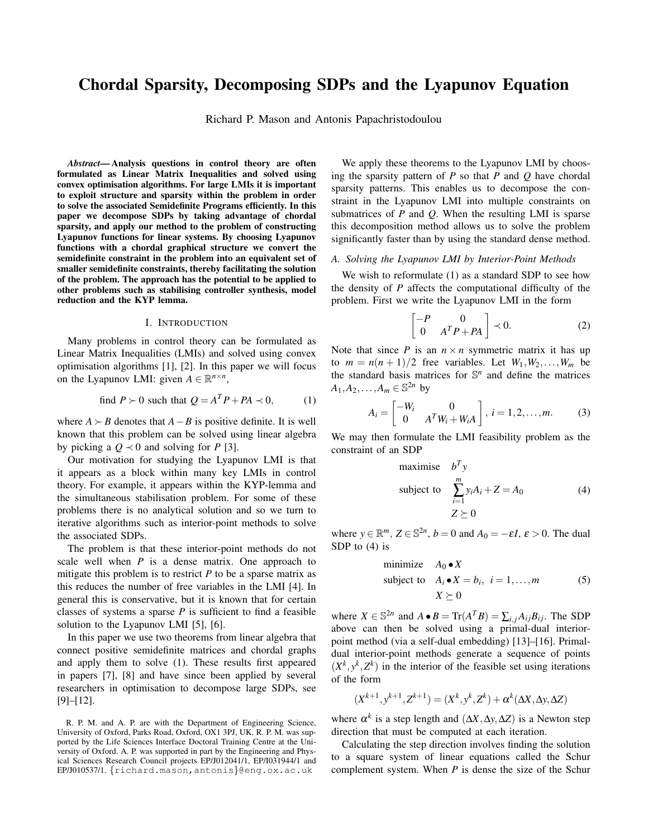# Chordal Sparsity, Decomposing SDPs and the Lyapunov Equation

Richard P. Mason and Antonis Papachristodoulou

*Abstract*— Analysis questions in control theory are often formulated as Linear Matrix Inequalities and solved using convex optimisation algorithms. For large LMIs it is important to exploit structure and sparsity within the problem in order to solve the associated Semidefinite Programs efficiently. In this paper we decompose SDPs by taking advantage of chordal sparsity, and apply our method to the problem of constructing Lyapunov functions for linear systems. By choosing Lyapunov functions with a chordal graphical structure we convert the semidefinite constraint in the problem into an equivalent set of smaller semidefinite constraints, thereby facilitating the solution of the problem. The approach has the potential to be applied to other problems such as stabilising controller synthesis, model reduction and the KYP lemma.

#### I. INTRODUCTION

Many problems in control theory can be formulated as Linear Matrix Inequalities (LMIs) and solved using convex optimisation algorithms [1], [2]. In this paper we will focus on the Lyapunov LMI: given  $A \in \mathbb{R}^{n \times n}$ ,

find 
$$
P \succ 0
$$
 such that  $Q = A^T P + PA \prec 0$ , (1)

where  $A \succ B$  denotes that  $A - B$  is positive definite. It is well known that this problem can be solved using linear algebra by picking a  $Q \prec 0$  and solving for *P* [3].

Our motivation for studying the Lyapunov LMI is that it appears as a block within many key LMIs in control theory. For example, it appears within the KYP-lemma and the simultaneous stabilisation problem. For some of these problems there is no analytical solution and so we turn to iterative algorithms such as interior-point methods to solve the associated SDPs.

The problem is that these interior-point methods do not scale well when *P* is a dense matrix. One approach to mitigate this problem is to restrict *P* to be a sparse matrix as this reduces the number of free variables in the LMI [4]. In general this is conservative, but it is known that for certain classes of systems a sparse  $P$  is sufficient to find a feasible solution to the Lyapunov LMI [5], [6].

In this paper we use two theorems from linear algebra that connect positive semidefinite matrices and chordal graphs and apply them to solve (1). These results first appeared in papers [7], [8] and have since been applied by several researchers in optimisation to decompose large SDPs, see [9]–[12].

R. P. M. and A. P. are with the Department of Engineering Science, University of Oxford, Parks Road, Oxford, OX1 3PJ, UK. R. P. M. was supported by the Life Sciences Interface Doctoral Training Centre at the University of Oxford. A. P. was supported in part by the Engineering and Physical Sciences Research Council projects EP/J012041/1, EP/I031944/1 and EP/J010537/1. {richard.mason,antonis}@eng.ox.ac.uk

We apply these theorems to the Lyapunov LMI by choosing the sparsity pattern of *P* so that *P* and *Q* have chordal sparsity patterns. This enables us to decompose the constraint in the Lyapunov LMI into multiple constraints on submatrices of *P* and *Q*. When the resulting LMI is sparse this decomposition method allows us to solve the problem significantly faster than by using the standard dense method.

#### *A. Solving the Lyapunov LMI by Interior-Point Methods*

We wish to reformulate (1) as a standard SDP to see how the density of *P* affects the computational difficulty of the problem. First we write the Lyapunov LMI in the form

$$
\begin{bmatrix} -P & 0\\ 0 & A^T P + P A \end{bmatrix} \prec 0.
$$
 (2)

Note that since *P* is an  $n \times n$  symmetric matrix it has up to  $m = n(n+1)/2$  free variables. Let  $W_1, W_2, \ldots, W_m$  be the standard basis matrices for  $\mathbb{S}^n$  and define the matrices  $A_1, A_2, \ldots, A_m \in \mathbb{S}^{2n}$  by

$$
A_i = \begin{bmatrix} -W_i & 0 \\ 0 & A^T W_i + W_i A \end{bmatrix}, i = 1, 2, ..., m.
$$
 (3)

We may then formulate the LMI feasibility problem as the constraint of an SDP

maximise 
$$
b^T y
$$
  
\nsubject to 
$$
\sum_{i=1}^m y_i A_i + Z = A_0
$$
\n
$$
Z \succeq 0
$$
\n(4)

where  $y \in \mathbb{R}^m$ ,  $Z \in \mathbb{S}^{2n}$ ,  $b = 0$  and  $A_0 = -\varepsilon I$ ,  $\varepsilon > 0$ . The dual SDP to  $(4)$  is

minimize 
$$
A_0 \bullet X
$$
  
subject to  $A_i \bullet X = b_i$ ,  $i = 1,...,m$  (5)  
 $X \succeq 0$ 

where  $X \in \mathbb{S}^{2n}$  and  $A \bullet B = \text{Tr}(A^T B) = \sum_{i,j} A_{ij} B_{ij}$ . The SDP above can then be solved using a primal-dual interiorpoint method (via a self-dual embedding) [13]–[16]. Primaldual interior-point methods generate a sequence of points  $(X^k, y^k, Z^k)$  in the interior of the feasible set using iterations of the form

$$
(X^{k+1}, y^{k+1}, Z^{k+1}) = (X^k, y^k, Z^k) + \alpha^k(\Delta X, \Delta y, \Delta Z)
$$

where  $\alpha^k$  is a step length and  $(\Delta X, \Delta y, \Delta Z)$  is a Newton step direction that must be computed at each iteration.

Calculating the step direction involves finding the solution to a square system of linear equations called the Schur complement system. When *P* is dense the size of the Schur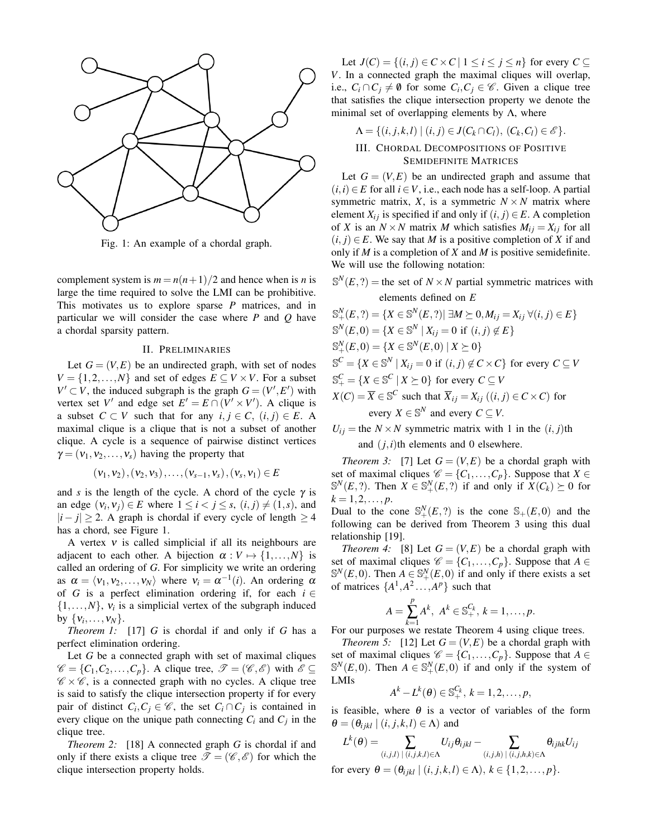

Fig. 1: An example of a chordal graph.

complement system is  $m = n(n+1)/2$  and hence when is *n* is large the time required to solve the LMI can be prohibitive. This motivates us to explore sparse *P* matrices, and in particular we will consider the case where *P* and *Q* have a chordal sparsity pattern.

#### II. PRELIMINARIES

Let  $G = (V, E)$  be an undirected graph, with set of nodes  $V = \{1, 2, ..., N\}$  and set of edges  $E \subseteq V \times V$ . For a subset  $V' \subset V$ , the induced subgraph is the graph  $G = (V', E')$  with vertex set *V'* and edge set  $E' = E \cap (V' \times V')$ . A clique is a subset  $C \subset V$  such that for any  $i, j \in C$ ,  $(i, j) \in E$ . A maximal clique is a clique that is not a subset of another clique. A cycle is a sequence of pairwise distinct vertices  $\gamma = (v_1, v_2, \dots, v_s)$  having the property that

$$
(\mathsf{v}_1,\mathsf{v}_2), (\mathsf{v}_2,\mathsf{v}_3), \ldots, (\mathsf{v}_{s-1},\mathsf{v}_s), (\mathsf{v}_s,\mathsf{v}_1) \in E
$$

and *s* is the length of the cycle. A chord of the cycle  $\gamma$  is an edge  $(v_i, v_j) \in E$  where  $1 \le i < j \le s$ ,  $(i, j) \ne (1, s)$ , and  $|i-j|$  ≥ 2. A graph is chordal if every cycle of length ≥ 4 has a chord, see Figure 1.

A vertex  $v$  is called simplicial if all its neighbours are adjacent to each other. A bijection  $\alpha : V \mapsto \{1, ..., N\}$  is called an ordering of *G*. For simplicity we write an ordering as  $\alpha = \langle v_1, v_2,..., v_N \rangle$  where  $v_i = \alpha^{-1}(i)$ . An ordering  $\alpha$ of *G* is a perfect elimination ordering if, for each  $i \in$  $\{1, \ldots, N\}$ ,  $v_i$  is a simplicial vertex of the subgraph induced by  $\{v_i, \ldots, v_N\}$ .

*Theorem 1:* [17] *G* is chordal if and only if *G* has a perfect elimination ordering.

Let *G* be a connected graph with set of maximal cliques  $\mathscr{C} = \{C_1, C_2, \ldots, C_p\}$ . A clique tree,  $\mathscr{T} = (\mathscr{C}, \mathscr{E})$  with  $\mathscr{E} \subseteq$  $\mathscr{C} \times \mathscr{C}$ , is a connected graph with no cycles. A clique tree is said to satisfy the clique intersection property if for every pair of distinct  $C_i, C_j \in \mathcal{C}$ , the set  $C_i \cap C_j$  is contained in every clique on the unique path connecting  $C_i$  and  $C_j$  in the clique tree.

*Theorem 2:* [18] A connected graph *G* is chordal if and only if there exists a clique tree  $\mathscr{T} = (\mathscr{C}, \mathscr{E})$  for which the clique intersection property holds.

Let  $J(C) = \{(i, j) \in C \times C \mid 1 \le i \le j \le n\}$  for every  $C \subseteq$ *V*. In a connected graph the maximal cliques will overlap, i.e.,  $C_i \cap C_j \neq \emptyset$  for some  $C_i, C_j \in \mathscr{C}$ . Given a clique tree that satisfies the clique intersection property we denote the minimal set of overlapping elements by  $\Lambda$ , where

$$
\Lambda = \{ (i, j, k, l) \mid (i, j) \in J(C_k \cap C_l), (C_k, C_l) \in \mathcal{E} \}.
$$
III. CHORDAL DECOMPOSITIONS OF POSITIVE

# SEMIDEFINITE MATRICES

Let  $G = (V, E)$  be an undirected graph and assume that  $(i,i) \in E$  for all  $i \in V$ , i.e., each node has a self-loop. A partial symmetric matrix, *X*, is a symmetric  $N \times N$  matrix where element  $X_{ij}$  is specified if and only if  $(i, j) \in E$ . A completion of *X* is an  $N \times N$  matrix *M* which satisfies  $M_{ij} = X_{ij}$  for all  $(i, j) \in E$ . We say that *M* is a positive completion of *X* if and only if *M* is a completion of *X* and *M* is positive semidefinite. We will use the following notation:

 $S^{N}(E, ?)$  = the set of *N* × *N* partial symmetric matrices with elements defined on *E*

$$
\mathbb{S}_{+}^{N}(E, ?) = \{X \in \mathbb{S}^{N}(E, ?)| \exists M \succeq 0, M_{ij} = X_{ij} \,\forall (i, j) \in E\}
$$
  
\n
$$
\mathbb{S}^{N}(E, 0) = \{X \in \mathbb{S}^{N} | X_{ij} = 0 \text{ if } (i, j) \notin E\}
$$
  
\n
$$
\mathbb{S}_{+}^{N}(E, 0) = \{X \in \mathbb{S}^{N}(E, 0) | X \succeq 0\}
$$
  
\n
$$
\mathbb{S}^{C} = \{X \in \mathbb{S}^{N} | X_{ij} = 0 \text{ if } (i, j) \notin C \times C\} \text{ for every } C \subseteq V
$$
  
\n
$$
\mathbb{S}_{+}^{C} = \{X \in \mathbb{S}^{C} | X \succeq 0\} \text{ for every } C \subseteq V
$$
  
\n
$$
X(C) = \overline{X} \in \mathbb{S}^{C} \text{ such that } \overline{X}_{ij} = X_{ij} \ (i, j) \in C \times C \text{ for}
$$
  
\nevery  $X \in \mathbb{S}^{N} \text{ and every } C \subseteq V$ .

 $U_{ij}$  = the *N* × *N* symmetric matrix with 1 in the  $(i, j)$ th

and (*j*,*i*)th elements and 0 elsewhere.

*Theorem 3:* [7] Let  $G = (V, E)$  be a chordal graph with set of maximal cliques  $\mathcal{C} = \{C_1, \ldots, C_p\}$ . Suppose that *X* ∈  $S^N(E, ?)$ . Then  $X \in S^N_+(E, ?)$  if and only if  $X(C_k) \succeq 0$  for  $k = 1, 2, \ldots, p.$ 

Dual to the cone  $\mathbb{S}^N_+(E, ?)$  is the cone  $\mathbb{S}_+(E, 0)$  and the following can be derived from Theorem 3 using this dual relationship [19].

*Theorem 4:* [8] Let  $G = (V, E)$  be a chordal graph with set of maximal cliques  $\mathcal{C} = \{C_1, \ldots, C_p\}$ . Suppose that  $A \in$  $S^N(E,0)$ . Then  $A \in S^N_+(E,0)$  if and only if there exists a set of matrices  $\{A^1, A^2, \ldots, A^p\}$  such that

$$
A = \sum_{k=1}^{p} A^{k}, \ A^{k} \in \mathbb{S}_{+}^{C_{k}}, \ k = 1, \ldots, p.
$$

*k*=1 For our purposes we restate Theorem 4 using clique trees.

*Theorem 5:* [12] Let  $G = (V, E)$  be a chordal graph with set of maximal cliques  $\mathcal{C} = \{C_1, \ldots, C_p\}$ . Suppose that *A* ∈  $S^{N}(E,0)$ . Then  $A \in S^{N}_{+}(E,0)$  if and only if the system of LMIs

$$
A^k - L^k(\boldsymbol{\theta}) \in \mathbb{S}^{C_k}_+, k = 1, 2, \ldots, p,
$$

is feasible, where  $\theta$  is a vector of variables of the form  $\theta = (\theta_{ijkl} | (i, j, k, l) \in \Lambda)$  and

$$
L^k(\theta) = \sum_{(i,j,l) \mid (i,j,k,l) \in \Lambda} U_{ij}\theta_{ijkl} - \sum_{(i,j,h) \mid (i,j,h,k) \in \Lambda} \theta_{ijhk} U_{ij}
$$

for every  $\theta = (\theta_{ijkl} | (i, j, k, l) \in \Lambda), k \in \{1, 2, ..., p\}.$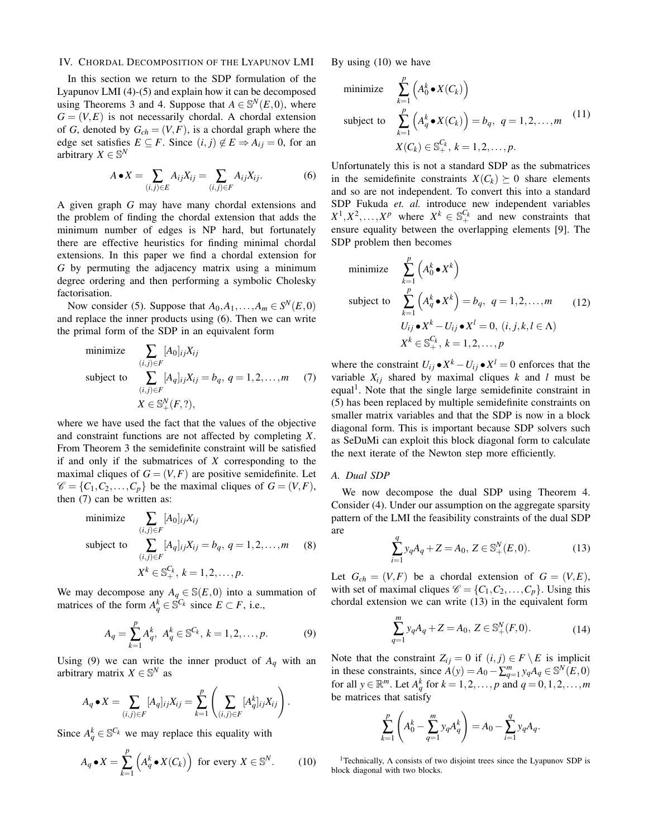#### IV. CHORDAL DECOMPOSITION OF THE LYAPUNOV LMI

In this section we return to the SDP formulation of the Lyapunov LMI (4)-(5) and explain how it can be decomposed using Theorems 3 and 4. Suppose that  $A \in \mathbb{S}^{N}(E,0)$ , where  $G = (V, E)$  is not necessarily chordal. A chordal extension of *G*, denoted by  $G_{ch} = (V, F)$ , is a chordal graph where the edge set satisfies  $E \subseteq F$ . Since  $(i, j) \notin E \Rightarrow A_{ij} = 0$ , for an arbitrary  $X \in \mathbb{S}^N$ 

$$
A \bullet X = \sum_{(i,j)\in E} A_{ij} X_{ij} = \sum_{(i,j)\in F} A_{ij} X_{ij}.
$$
 (6)

A given graph *G* may have many chordal extensions and the problem of finding the chordal extension that adds the minimum number of edges is NP hard, but fortunately there are effective heuristics for finding minimal chordal extensions. In this paper we find a chordal extension for *G* by permuting the adjacency matrix using a minimum degree ordering and then performing a symbolic Cholesky factorisation.

Now consider (5). Suppose that  $A_0, A_1, \ldots, A_m \in S^N(E, 0)$ and replace the inner products using (6). Then we can write the primal form of the SDP in an equivalent form

minimize 
$$
\sum_{(i,j)\in F} [A_0]_{ij} X_{ij}
$$
  
subject to 
$$
\sum_{(i,j)\in F} [A_q]_{ij} X_{ij} = b_q, q = 1, 2, ..., m \quad (7)
$$

$$
X \in \mathbb{S}^N_+(F, ?),
$$

where we have used the fact that the values of the objective and constraint functions are not affected by completing *X*. From Theorem 3 the semidefinite constraint will be satisfied if and only if the submatrices of *X* corresponding to the maximal cliques of  $G = (V, F)$  are positive semidefinite. Let  $\mathscr{C} = \{C_1, C_2, \ldots, C_p\}$  be the maximal cliques of  $G = (V, F)$ , then (7) can be written as:

minimize 
$$
\sum_{(i,j)\in F} [A_0]_{ij} X_{ij}
$$
  
subject to 
$$
\sum_{(i,j)\in F} [A_q]_{ij} X_{ij} = b_q, q = 1, 2, ..., m
$$
 (8)  

$$
X^k \in \mathbb{S}_+^{C_k}, k = 1, 2, ..., p.
$$

We may decompose any  $A_q \in \mathbb{S}(E,0)$  into a summation of matrices of the form  $A_q^k \in \mathbb{S}^{C_k}$  since  $E \subset F$ , i.e.,

$$
A_q = \sum_{k=1}^p A_q^k, \ A_q^k \in \mathbb{S}^{C_k}, \ k = 1, 2, \dots, p. \tag{9}
$$

Using (9) we can write the inner product of  $A_q$  with an arbitrary matrix  $X \in \mathbb{S}^N$  as

$$
A_q \bullet X = \sum_{(i,j) \in F} [A_q]_{ij} X_{ij} = \sum_{k=1}^p \left( \sum_{(i,j) \in F} [A_q^k]_{ij} X_{ij} \right).
$$

Since  $A_q^k \in \mathbb{S}^{C_k}$  we may replace this equality with

$$
A_q \bullet X = \sum_{k=1}^p \left( A_q^k \bullet X(C_k) \right) \text{ for every } X \in \mathbb{S}^N. \tag{10}
$$

By using (10) we have

minimize 
$$
\sum_{k=1}^{p} \left( A_0^k \bullet X(C_k) \right)
$$
  
subject to 
$$
\sum_{k=1}^{p} \left( A_q^k \bullet X(C_k) \right) = b_q, \ q = 1, 2, ..., m
$$
 (11)  

$$
X(C_k) \in \mathbb{S}_+^{C_k}, \ k = 1, 2, ..., p.
$$

Unfortunately this is not a standard SDP as the submatrices in the semidefinite constraints  $X(C_k) \succeq 0$  share elements and so are not independent. To convert this into a standard SDP Fukuda *et. al.* introduce new independent variables  $X^1, X^2, \ldots, X^p$  where  $X^k \in \mathbb{S}_+^{C_k}$  and new constraints that ensure equality between the overlapping elements [9]. The SDP problem then becomes

minimize 
$$
\sum_{k=1}^{p} (A_0^k \bullet X^k)
$$
  
subject to 
$$
\sum_{k=1}^{p} (A_q^k \bullet X^k) = b_q, \ q = 1, 2, ..., m
$$

$$
U_{ij} \bullet X^k - U_{ij} \bullet X^l = 0, (i, j, k, l \in \Lambda)
$$

$$
X^k \in \mathbb{S}_+^{C_k}, k = 1, 2, ..., p
$$
 (12)

where the constraint  $U_{ij} \bullet X^k - U_{ij} \bullet X^l = 0$  enforces that the variable  $X_{ij}$  shared by maximal cliques  $k$  and  $l$  must be equal<sup>1</sup>. Note that the single large semidefinite constraint in (5) has been replaced by multiple semidefinite constraints on smaller matrix variables and that the SDP is now in a block diagonal form. This is important because SDP solvers such as SeDuMi can exploit this block diagonal form to calculate the next iterate of the Newton step more efficiently.

#### *A. Dual SDP*

We now decompose the dual SDP using Theorem 4. Consider (4). Under our assumption on the aggregate sparsity pattern of the LMI the feasibility constraints of the dual SDP are

$$
\sum_{i=1}^{q} y_q A_q + Z = A_0, Z \in \mathbb{S}_+^N(E, 0). \tag{13}
$$

Let  $G_{ch} = (V, F)$  be a chordal extension of  $G = (V, E)$ , with set of maximal cliques  $\mathcal{C} = \{C_1, C_2, \ldots, C_p\}$ . Using this chordal extension we can write (13) in the equivalent form

$$
\sum_{q=1}^{m} y_q A_q + Z = A_0, Z \in \mathbb{S}_+^N(F, 0). \tag{14}
$$

Note that the constraint  $Z_{ij} = 0$  if  $(i, j) \in F \setminus E$  is implicit in these constraints, since  $A(y) = A_0 - \sum_{q=1}^m y_q A_q \in \mathbb{S}^N(E, 0)$ for all  $y \in \mathbb{R}^m$ . Let  $A_q^k$  for  $k = 1, 2, ..., p$  and  $q = 0, 1, 2, ..., m$ be matrices that satisfy

$$
\sum_{k=1}^{p} \left( A_0^k - \sum_{q=1}^{m} y_q A_q^k \right) = A_0 - \sum_{i=1}^{q} y_q A_q.
$$

<sup>1</sup>Technically,  $\Lambda$  consists of two disjoint trees since the Lyapunov SDP is block diagonal with two blocks.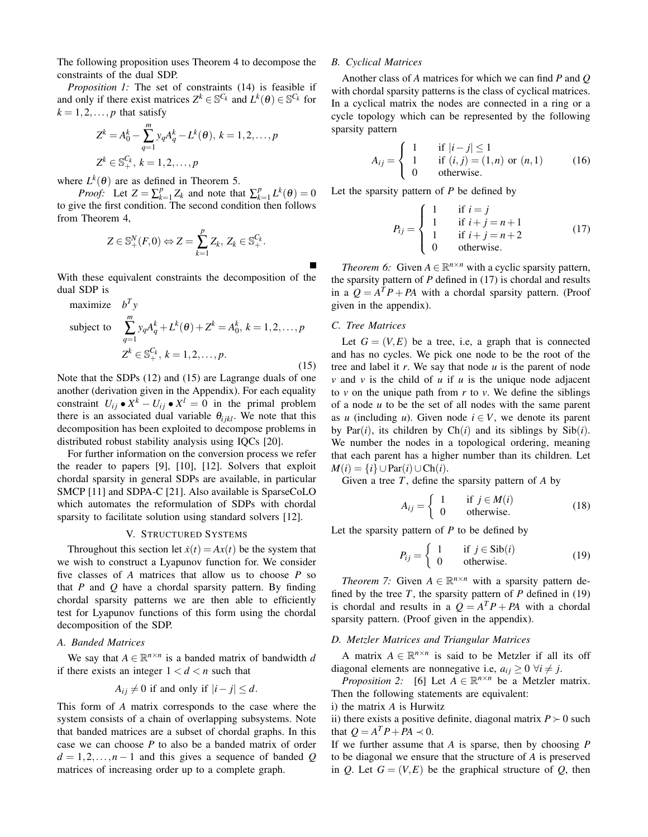The following proposition uses Theorem 4 to decompose the constraints of the dual SDP.

*Proposition 1:* The set of constraints (14) is feasible if and only if there exist matrices  $Z^k \in \mathbb{S}^{C_k}$  and  $L^k(\theta) \in \mathbb{S}^{C_k}$  for  $k = 1, 2, \ldots, p$  that satisfy

$$
Z^{k} = A_{0}^{k} - \sum_{q=1}^{m} y_{q} A_{q}^{k} - L^{k}(\theta), k = 1, 2, ..., p
$$
  

$$
Z^{k} \in \mathbb{S}_{+}^{C_{k}}, k = 1, 2, ..., p
$$

where  $L^k(\theta)$  are as defined in Theorem 5.

*Proof:* Let  $Z = \sum_{k=1}^{p}$  $\sum_{k=1}^{p} Z_k$  and note that  $\sum_{k=1}^{p} Z_k$  $\sum_{k=1}^p L^k(\theta) = 0$ to give the first condition. The second condition then follows from Theorem 4,

$$
Z \in \mathbb{S}^N_+(F,0) \Leftrightarrow Z = \sum_{k=1}^p Z_k, Z_k \in \mathbb{S}^{C_k}_+.
$$

With these equivalent constraints the decomposition of the dual SDP is

maximize 
$$
b^T y
$$
  
\nsubject to 
$$
\sum_{q=1}^m y_q A_q^k + L^k(\theta) + Z^k = A_0^k, k = 1, 2, ..., p
$$

$$
Z^k \in \mathbb{S}_+^{C_k}, k = 1, 2, ..., p.
$$
\n(15)

Note that the SDPs (12) and (15) are Lagrange duals of one another (derivation given in the Appendix). For each equality constraint  $U_{ij} \bullet X^k - U_{ij} \bullet X^l = 0$  in the primal problem there is an associated dual variable  $\theta_{ijkl}$ . We note that this decomposition has been exploited to decompose problems in distributed robust stability analysis using IQCs [20].

For further information on the conversion process we refer the reader to papers [9], [10], [12]. Solvers that exploit chordal sparsity in general SDPs are available, in particular SMCP [11] and SDPA-C [21]. Also available is SparseCoLO which automates the reformulation of SDPs with chordal sparsity to facilitate solution using standard solvers [12].

#### V. STRUCTURED SYSTEMS

Throughout this section let  $\dot{x}(t) = Ax(t)$  be the system that we wish to construct a Lyapunov function for. We consider five classes of *A* matrices that allow us to choose *P* so that *P* and *Q* have a chordal sparsity pattern. By finding chordal sparsity patterns we are then able to efficiently test for Lyapunov functions of this form using the chordal decomposition of the SDP.

### *A. Banded Matrices*

We say that  $A \in \mathbb{R}^{n \times n}$  is a banded matrix of bandwidth *d* if there exists an integer  $1 < d < n$  such that

$$
A_{ij} \neq 0
$$
 if and only if  $|i - j| \leq d$ .

This form of *A* matrix corresponds to the case where the system consists of a chain of overlapping subsystems. Note that banded matrices are a subset of chordal graphs. In this case we can choose *P* to also be a banded matrix of order  $d = 1, 2, \ldots, n - 1$  and this gives a sequence of banded *Q* matrices of increasing order up to a complete graph.

## *B. Cyclical Matrices*

Another class of *A* matrices for which we can find *P* and *Q* with chordal sparsity patterns is the class of cyclical matrices. In a cyclical matrix the nodes are connected in a ring or a cycle topology which can be represented by the following sparsity pattern

$$
A_{ij} = \begin{cases} 1 & \text{if } |i-j| \le 1 \\ 1 & \text{if } (i,j) = (1,n) \text{ or } (n,1) \\ 0 & \text{otherwise.} \end{cases}
$$
 (16)

Let the sparsity pattern of *P* be defined by

$$
P_{ij} = \begin{cases} 1 & \text{if } i = j \\ 1 & \text{if } i + j = n + 1 \\ 1 & \text{if } i + j = n + 2 \\ 0 & \text{otherwise.} \end{cases}
$$
(17)

*Theorem 6:* Given  $A \in \mathbb{R}^{n \times n}$  with a cyclic sparsity pattern, the sparsity pattern of  $P$  defined in  $(17)$  is chordal and results in a  $Q = A^T P + P A$  with a chordal sparsity pattern. (Proof given in the appendix).

#### *C. Tree Matrices*

Let  $G = (V, E)$  be a tree, i.e, a graph that is connected and has no cycles. We pick one node to be the root of the tree and label it *r*. We say that node *u* is the parent of node *v* and *v* is the child of *u* if *u* is the unique node adjacent to  $\nu$  on the unique path from  $r$  to  $\nu$ . We define the siblings of a node *u* to be the set of all nodes with the same parent as *u* (including *u*). Given node  $i \in V$ , we denote its parent by Par $(i)$ , its children by Ch $(i)$  and its siblings by Sib $(i)$ . We number the nodes in a topological ordering, meaning that each parent has a higher number than its children. Let  $M(i) = \{i\} \cup \text{Par}(i) \cup \text{Ch}(i).$ 

Given a tree *T*, define the sparsity pattern of *A* by

$$
A_{ij} = \begin{cases} 1 & \text{if } j \in M(i) \\ 0 & \text{otherwise.} \end{cases}
$$
 (18)

Let the sparsity pattern of *P* to be defined by

$$
P_{ij} = \begin{cases} 1 & \text{if } j \in \text{Sib}(i) \\ 0 & \text{otherwise.} \end{cases}
$$
 (19)

*Theorem 7:* Given  $A \in \mathbb{R}^{n \times n}$  with a sparsity pattern defined by the tree  $T$ , the sparsity pattern of  $P$  defined in (19) is chordal and results in a  $Q = A^T P + P A$  with a chordal sparsity pattern. (Proof given in the appendix).

## *D. Metzler Matrices and Triangular Matrices*

A matrix  $A \in \mathbb{R}^{n \times n}$  is said to be Metzler if all its off diagonal elements are nonnegative i.e,  $a_{ij} \geq 0 \ \forall i \neq j$ .

*Proposition 2:* [6] Let  $A \in \mathbb{R}^{n \times n}$  be a Metzler matrix. Then the following statements are equivalent:

i) the matrix *A* is Hurwitz

ii) there exists a positive definite, diagonal matrix  $P \succ 0$  such that  $Q = A^T P + P A \prec 0$ .

If we further assume that *A* is sparse, then by choosing *P* to be diagonal we ensure that the structure of *A* is preserved in *Q*. Let  $G = (V, E)$  be the graphical structure of *Q*, then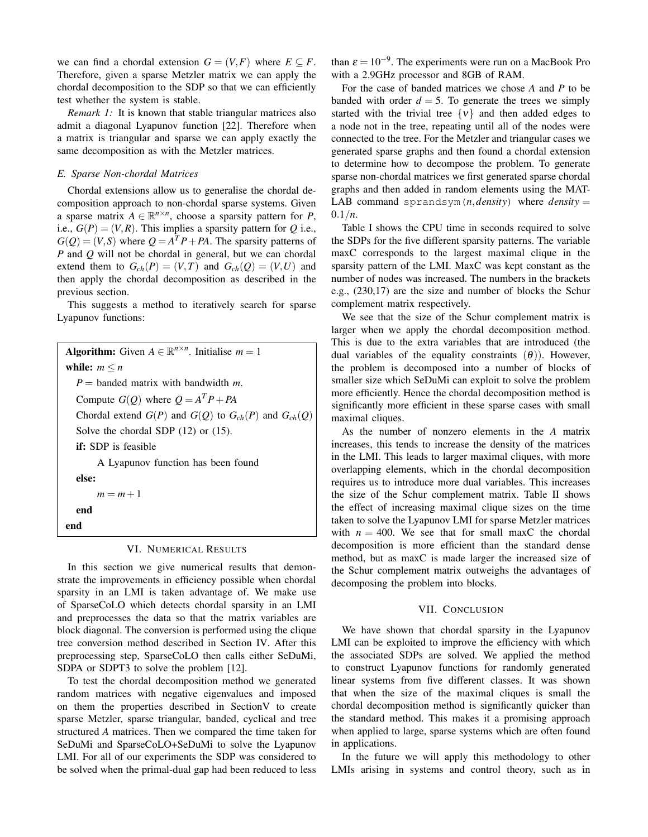we can find a chordal extension  $G = (V, F)$  where  $E \subseteq F$ . Therefore, given a sparse Metzler matrix we can apply the chordal decomposition to the SDP so that we can efficiently test whether the system is stable.

*Remark 1:* It is known that stable triangular matrices also admit a diagonal Lyapunov function [22]. Therefore when a matrix is triangular and sparse we can apply exactly the same decomposition as with the Metzler matrices.

#### *E. Sparse Non-chordal Matrices*

Chordal extensions allow us to generalise the chordal decomposition approach to non-chordal sparse systems. Given a sparse matrix  $A \in \mathbb{R}^{n \times n}$ , choose a sparsity pattern for *P*, i.e.,  $G(P) = (V, R)$ . This implies a sparsity pattern for *Q* i.e.,  $G(Q) = (V, S)$  where  $Q = A^T P + P A$ . The sparsity patterns of *P* and *Q* will not be chordal in general, but we can chordal extend them to  $G_{ch}(P) = (V, T)$  and  $G_{ch}(Q) = (V, U)$  and then apply the chordal decomposition as described in the previous section.

This suggests a method to iteratively search for sparse Lyapunov functions:

```
Algorithm: Given A \in \mathbb{R}^{n \times n}. Initialise m = 1while: m \leq nP = banded matrix with bandwidth m.
   Compute G(Q) where Q = A^T P + P AChordal extend G(P) and G(Q) to G_{ch}(P) and G_{ch}(Q)Solve the chordal SDP (12) or (15).
  if: SDP is feasible
       A Lyapunov function has been found
  else:
       m = m + 1end
end
```
#### VI. NUMERICAL RESULTS

In this section we give numerical results that demonstrate the improvements in efficiency possible when chordal sparsity in an LMI is taken advantage of. We make use of SparseCoLO which detects chordal sparsity in an LMI and preprocesses the data so that the matrix variables are block diagonal. The conversion is performed using the clique tree conversion method described in Section IV. After this preprocessing step, SparseCoLO then calls either SeDuMi, SDPA or SDPT3 to solve the problem [12].

To test the chordal decomposition method we generated random matrices with negative eigenvalues and imposed on them the properties described in SectionV to create sparse Metzler, sparse triangular, banded, cyclical and tree structured *A* matrices. Then we compared the time taken for SeDuMi and SparseCoLO+SeDuMi to solve the Lyapunov LMI. For all of our experiments the SDP was considered to be solved when the primal-dual gap had been reduced to less

than  $\varepsilon = 10^{-9}$ . The experiments were run on a MacBook Pro with a 2.9GHz processor and 8GB of RAM.

For the case of banded matrices we chose *A* and *P* to be banded with order  $d = 5$ . To generate the trees we simply started with the trivial tree  $\{v\}$  and then added edges to a node not in the tree, repeating until all of the nodes were connected to the tree. For the Metzler and triangular cases we generated sparse graphs and then found a chordal extension to determine how to decompose the problem. To generate sparse non-chordal matrices we first generated sparse chordal graphs and then added in random elements using the MAT-LAB command sprandsym $(n, density)$  where *density* =  $0.1/n$ .

Table I shows the CPU time in seconds required to solve the SDPs for the five different sparsity patterns. The variable maxC corresponds to the largest maximal clique in the sparsity pattern of the LMI. MaxC was kept constant as the number of nodes was increased. The numbers in the brackets e.g., (230,17) are the size and number of blocks the Schur complement matrix respectively.

We see that the size of the Schur complement matrix is larger when we apply the chordal decomposition method. This is due to the extra variables that are introduced (the dual variables of the equality constraints  $(\theta)$ ). However, the problem is decomposed into a number of blocks of smaller size which SeDuMi can exploit to solve the problem more efficiently. Hence the chordal decomposition method is significantly more efficient in these sparse cases with small maximal cliques.

As the number of nonzero elements in the *A* matrix increases, this tends to increase the density of the matrices in the LMI. This leads to larger maximal cliques, with more overlapping elements, which in the chordal decomposition requires us to introduce more dual variables. This increases the size of the Schur complement matrix. Table II shows the effect of increasing maximal clique sizes on the time taken to solve the Lyapunov LMI for sparse Metzler matrices with  $n = 400$ . We see that for small maxC the chordal decomposition is more efficient than the standard dense method, but as maxC is made larger the increased size of the Schur complement matrix outweighs the advantages of decomposing the problem into blocks.

#### VII. CONCLUSION

We have shown that chordal sparsity in the Lyapunov LMI can be exploited to improve the efficiency with which the associated SDPs are solved. We applied the method to construct Lyapunov functions for randomly generated linear systems from five different classes. It was shown that when the size of the maximal cliques is small the chordal decomposition method is significantly quicker than the standard method. This makes it a promising approach when applied to large, sparse systems which are often found in applications.

In the future we will apply this methodology to other LMIs arising in systems and control theory, such as in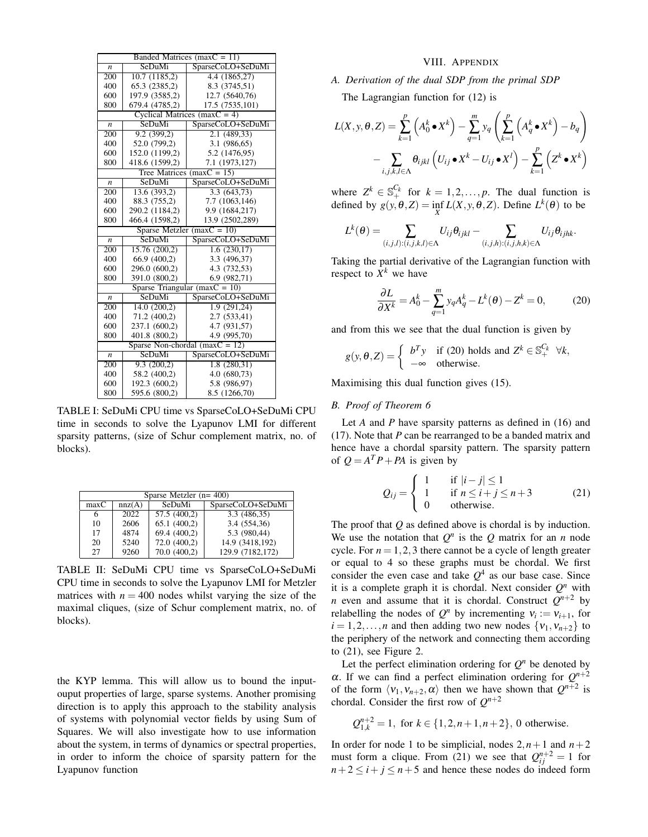| Banded Matrices ( $maxC = 11$ )    |                |                   |  |  |
|------------------------------------|----------------|-------------------|--|--|
| $\boldsymbol{n}$                   | SeDuMi         | SparseCoLO+SeDuMi |  |  |
| 200                                | 10.7(1185,2)   | 4.4 (1865,27)     |  |  |
| 400                                | 65.3 (2385,2)  | 8.3 (3745,51)     |  |  |
| 600                                | 197.9 (3585,2) | 12.7 (5640,76)    |  |  |
| 800                                | 679.4 (4785,2) | 17.5 (7535,101)   |  |  |
| Cyclical Matrices (max $C = 4$ )   |                |                   |  |  |
| n                                  | SeDuMi         | SparseCoLO+SeDuMi |  |  |
| 200                                | 9.2(399.2)     | 2.1 (489.33)      |  |  |
| 400                                | 52.0 (799,2)   | 3.1 (986,65)      |  |  |
| 600                                | 152.0 (1199,2) | 5.2 (1476,95)     |  |  |
| 800                                | 418.6 (1599,2) | 7.1 (1973,127)    |  |  |
| Tree Matrices (max $C = 15$ )      |                |                   |  |  |
| n                                  | SeDuMi         | SparseCoLO+SeDuMi |  |  |
| 200                                | 13.6(393,2)    | 3.3(643,73)       |  |  |
| 400                                | 88.3 (755,2)   | 7.7 (1063,146)    |  |  |
| 600                                | 290.2 (1184,2) | 9.9 (1684,217)    |  |  |
| 800                                | 466.4 (1598,2) | 13.9 (2502,289)   |  |  |
| $(maxC = 10)$<br>Sparse Metzler    |                |                   |  |  |
| n                                  | <b>SeDuMi</b>  | SparseCoLO+SeDuMi |  |  |
| 200                                | 15.76(200,2)   | 1.6(230,17)       |  |  |
| 400                                | 66.9 (400,2)   | 3.3 (496,37)      |  |  |
| 600                                | 296.0 (600,2)  | 4.3 (732,53)      |  |  |
| 800                                | 391.0 (800,2)  | 6.9 (982,71)      |  |  |
| Sparse Triangular (max $C = 10$ )  |                |                   |  |  |
| n                                  | SeDuMi         | SparseCoLO+SeDuMi |  |  |
| 200                                | 14.0(200,2)    | 1.9(291,24)       |  |  |
| 400                                | 71.2 (400,2)   | 2.7 (533,41)      |  |  |
| 600                                | 237.1 (600,2)  | 4.7 (931,57)      |  |  |
| 800                                | 401.8 (800,2)  | 4.9 (995,70)      |  |  |
| Sparse Non-chordal ( $maxC = 12$ ) |                |                   |  |  |
| n                                  | SeDuMi         | SparseCoLO+SeDuMi |  |  |
| 200                                | 9.3(200,2)     | 1.8(280.31)       |  |  |
| 400                                | 58.2 (400,2)   | 4.0 (680,73)      |  |  |
| 600                                | 192.3 (600,2)  | 5.8 (986,97)      |  |  |
|                                    |                |                   |  |  |

TABLE I: SeDuMi CPU time vs SparseCoLO+SeDuMi CPU time in seconds to solve the Lyapunov LMI for different sparsity patterns, (size of Schur complement matrix, no. of blocks).

| Sparse Metzler $(n=400)$ |        |              |                   |
|--------------------------|--------|--------------|-------------------|
| maxC                     | nnz(A) | SeDuMi       | SparseCoLO+SeDuMi |
| h                        | 2022   | 57.5(400.2)  | 3.3(486,35)       |
| 10                       | 2606   | 65.1(400.2)  | 3.4 (554,36)      |
| 17                       | 4874   | 69.4 (400,2) | 5.3 (980,44)      |
| 20                       | 5240   | 72.0 (400,2) | 14.9 (3418,192)   |
| 27                       | 9260   | 70.0 (400.2) | 129.9 (7182,172)  |

TABLE II: SeDuMi CPU time vs SparseCoLO+SeDuMi CPU time in seconds to solve the Lyapunov LMI for Metzler matrices with  $n = 400$  nodes whilst varying the size of the maximal cliques, (size of Schur complement matrix, no. of blocks).

the KYP lemma. This will allow us to bound the inputouput properties of large, sparse systems. Another promising direction is to apply this approach to the stability analysis of systems with polynomial vector fields by using Sum of Squares. We will also investigate how to use information about the system, in terms of dynamics or spectral properties, in order to inform the choice of sparsity pattern for the Lyapunov function

## VIII. APPENDIX

# *A. Derivation of the dual SDP from the primal SDP*

The Lagrangian function for (12) is

$$
L(X, y, \theta, Z) = \sum_{k=1}^{p} \left( A_0^k \bullet X^k \right) - \sum_{q=1}^{m} y_q \left( \sum_{k=1}^{p} \left( A_q^k \bullet X^k \right) - b_q \right)
$$

$$
- \sum_{i, j, k, l \in \Lambda} \theta_{ijkl} \left( U_{ij} \bullet X^k - U_{ij} \bullet X^l \right) - \sum_{k=1}^{p} \left( Z^k \bullet X^k \right)
$$

where  $Z^k \in \mathbb{S}_+^{C_k}$  for  $k = 1, 2, ..., p$ . The dual function is defined by  $g(y, \theta, Z) = \inf_{X} L(X, y, \theta, Z)$ . Define  $L^k(\theta)$  to be

$$
L^k(\theta) = \sum_{(i,j,l): (i,j,k,l) \in \Lambda} U_{ij}\theta_{ijkl} - \sum_{(i,j,h): (i,j,h,k) \in \Lambda} U_{ij}\theta_{ijhk}.
$$

Taking the partial derivative of the Lagrangian function with respect to  $X^k$  we have

$$
\frac{\partial L}{\partial X^k} = A_0^k - \sum_{q=1}^m y_q A_q^k - L^k(\theta) - Z^k = 0,\tag{20}
$$

and from this we see that the dual function is given by

$$
g(y, \theta, Z) = \begin{cases} b^T y & \text{if (20) holds and } Z^k \in \mathbb{S}_+^{C_k} \ \forall k, \\ -\infty & \text{otherwise.} \end{cases}
$$

Maximising this dual function gives (15).

#### *B. Proof of Theorem 6*

Let *A* and *P* have sparsity patterns as defined in (16) and (17). Note that *P* can be rearranged to be a banded matrix and hence have a chordal sparsity pattern. The sparsity pattern of  $Q = A^T P + P A$  is given by

$$
Q_{ij} = \begin{cases} 1 & \text{if } |i-j| \le 1 \\ 1 & \text{if } n \le i+j \le n+3 \\ 0 & \text{otherwise.} \end{cases}
$$
 (21)

The proof that *Q* as defined above is chordal is by induction. We use the notation that  $Q^n$  is the  $Q$  matrix for an *n* node cycle. For  $n = 1, 2, 3$  there cannot be a cycle of length greater or equal to 4 so these graphs must be chordal. We first consider the even case and take  $Q^4$  as our base case. Since it is a complete graph it is chordal. Next consider  $Q<sup>n</sup>$  with *n* even and assume that it is chordal. Construct  $Q^{n+2}$  by relabelling the nodes of  $Q^n$  by incrementing  $v_i := v_{i+1}$ , for  $i = 1, 2, \ldots, n$  and then adding two new nodes  $\{v_1, v_{n+2}\}\$ to the periphery of the network and connecting them according to (21), see Figure 2.

Let the perfect elimination ordering for  $Q<sup>n</sup>$  be denoted by  $\alpha$ . If we can find a perfect elimination ordering for  $Q^{n+2}$ of the form  $\langle v_1, v_{n+2}, \alpha \rangle$  then we have shown that  $Q^{n+2}$  is chordal. Consider the first row of  $Q^{n+2}$ 

$$
Q_{1,k}^{n+2} = 1
$$
, for  $k \in \{1, 2, n+1, n+2\}$ , 0 otherwise.

In order for node 1 to be simplicial, nodes  $2, n+1$  and  $n+2$ must form a clique. From (21) we see that  $Q_{ij}^{n+2} = 1$  for  $n+2 \leq i+j \leq n+5$  and hence these nodes do indeed form